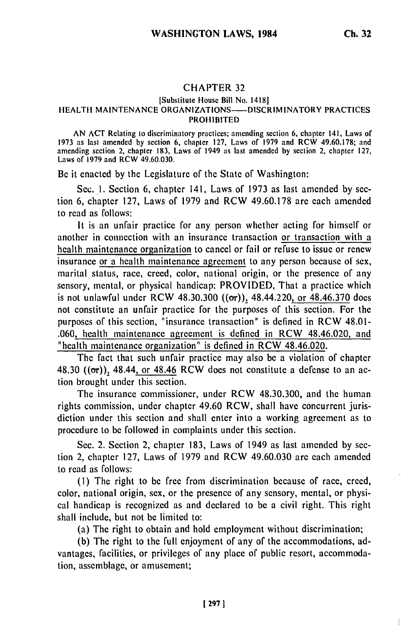## CHAPTER **32**

## [Substitute House Bill No. 1418] HEALTH MAINTENANCE ORGANIZATIONS---- DISCRIMINATORY PRACTICES PROHIBITED

AN ACT Relating to discriminatory practices; amending section 6, chapter 141, Laws of 1973 as last amended by section **6,** chapter 127, Laws of 1979 and RCW 49.60.178; and amending section 2, chapter 183, Laws of 1949 as last amended by section 2, chapter 127, Laws of 1979 and RCW 49.60.030.

Be it enacted by the Legislature of the State of Washington:

Sec. **1.** Section 6, chapter 141, Laws of 1973 as last amended by section 6, chapter 127, Laws of 1979 and RCW 49.60.178 arc each amended to read as follows:

It is an unfair practice for any person whether acting for himself or another in connection with an insurance transaction or transaction with a health maintenance organization to cancel or fail or refuse to issue or renew insurance or a health maintenance agreement to any person because of sex, marital status, race, creed, color, national origin, or the presence of any sensory, mental, or physical handicap: PROVIDED, That a practice which is not unlawful under RCW 48.30.300  $((\sigma r))$ , 48.44.220, or 48.46.370 does not constitute an unfair practice for the purposes of this section. For the purposes of this section, "insurance transaction" is defined in RCW 48.01- .060, health maintenance agreement is defined in RCW 48.46.020, and "health maintenance organization" is defined in RCW 48.46.020.

The fact that such unfair practice may also be a violation of chapter 48.30  $((\sigma r)$ , 48.44, or 48.46 RCW does not constitute a defense to an action brought under this section.

The insurance commissioner, under RCW 48.30.300, and the human rights commission, under chapter 49.60 RCW, shall have concurrent jurisdiction under this section and shall enter into a working agreement as to procedure to be followed in complaints under this section.

Sec. 2. Section 2, chapter 183, Laws of 1949 as last amended by section 2, chapter 127, Laws of 1979 and RCW 49.60.030 are each amended to read as follows:

(I) The right to be free from discrimination because of race, creed, color, national origin, sex, or the presence of any sensory, mental, or physical handicap is recognized as and declared to be a civil right. This right shall include, but not be limited to:

(a) The right to obtain and hold employment without discrimination;

(b) The right to the full enjoyment of any of the accommodations, advantages, facilities, or privileges of any place of public resort, accommodation, assemblage, or amusement;